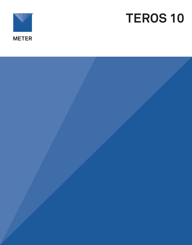

# **TEROS 10**

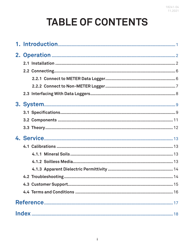# **TABLE OF CONTENTS**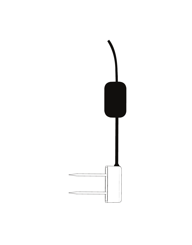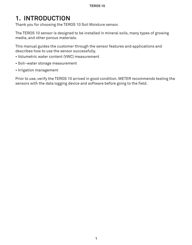**TEROS 10**

# <span id="page-3-0"></span>**1. INTRODUCTION**

Thank you for choosing the TEROS 10 Soil Moisture sensor.

The TEROS 10 sensor is designed to be installed in mineral soils, many types of growing media, and other porous materials.

This manual guides the customer through the sensor features and applications and describes how to use the sensor successfully.

- Volumetric water content (VWC) measurement
- Soil–water storage measurement
- Irrigation management

Prior to use, verify the TEROS 10 arrived in good condition. METER recommends testing the sensors with the data logging device and software before going to the field.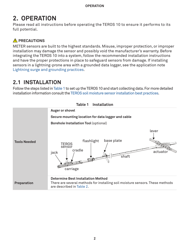# <span id="page-4-0"></span>**2. OPERATION**

Please read all instructions before operating the TEROS 10 to ensure it performs to its full potential.

### **A** PRECAUTIONS

METER sensors are built to the highest standards. Misuse, improper protection, or improper installation may damage the sensor and possibly void the manufacturer's warranty. Before integrating the TEROS 10 into a system, follow the recommended installation instructions and have the proper protections in place to safeguard sensors from damage. If installing sensors in a lightning-prone area with a grounded data logger, see the application note [Lightning surge and grounding practices](https://www.metergroup.com/lightning-surge-grounding-practices).

# **2.1 INSTALLATION**

<span id="page-4-1"></span>Follow the steps listed in [Table 1](#page-4-1) to set up the TEROS 10 and start collecting data. For more detailed installation information consult the TEROS soil moisture [sensor installation best practices](https://www.metergroup.com/environment/articles/teros-installation-best-practices/).

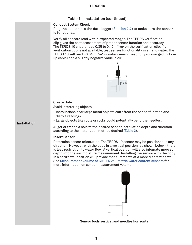### **TEROS 10**

### **Table 1 Installation (continued)**

### **Conduct System Check**

Plug the sensor into the data logger ([Section 2.2](#page-8-1)) to make sure the sensor is functional.

Verify all sensors read within expected ranges. The TEROS verification clip gives the best assessment of proper sensor function and accuracy. The TEROS 10 should read 0.35 to 0.42  $\text{m}^3/\text{m}^3$  on the verification clip. If a verification clip is not available, test sensor functionality in air and water. The TEROS 10 will read ~0.64 m $^3{\rm /m^3}$  in water (sensor head fully submerged to 1 cm up cable) and a slightly negative value in air.



#### **Create Hole**

Avoid interfering objects.

- Installations near large metal objects can affect the sensor function and distort readings.
- Large objects like roots or rocks could potentially bend the needles.

Auger or trench a hole to the desired sensor installation depth and direction according to the installation method desired ([Table 2](#page-7-0)).

### **Insert Sensor**

Determine sensor orientation. The TEROS 10 sensor may be positioned in any direction. However, with the body in a vertical position (as shown below), there is less restriction to water flow. A vertical position will also integrate more soil depth into the soil moisture measurement. Installing the sensor with the body in a horizontal position will provide measurements at a more discreet depth. See [Measurement volume of METER volumetric water content sensors](https://www.metergroup.com/environment/articles/measurement-volume-meter-volumetric-water-content-sensors/) for more information on sensor measurement volume.



**Sensor body vertical and needles horizontal**

**Installation**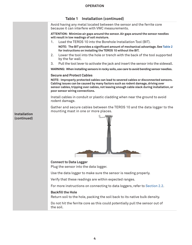#### **Operation**

### **Table 1 Installation (continued)**

Avoid having any metal located between the sensor and the ferrite core because it can interfere with VWC measurements.

**ATTENTION: Minimize air gaps around the sensor. Air gaps around the sensor needles will result in low readings of soil moisture.**

1. Load the TEROS 10 into the Borehole Installation Tool (BIT).

**NOTE: The BIT provides a significant amount of mechanical advantage. See [Table 2](#page-7-0)  for instructions on installing the TEROS 10 without the BIT.** 

- 2. Lower the tool into the hole or trench with the back of the tool supported by the far wall.
- 3. Pull the tool lever to activate the jack and insert the sensor into the sidewall.

**WARNING: When installing sensors in rocky soils, use care to avoid bending sensor needles.**

#### **Secure and Protect Cables**

**NOTE: Improperly protected cables can lead to severed cables or disconnected sensors. Cabling issues can be caused by many factors such as rodent damage, driving over sensor cables, tripping over cables, not leaving enough cable slack during installation, or poor sensor wiring connections.** 

Install cables in conduit or plastic cladding when near the ground to avoid rodent damage.

Gather and secure cables between the TEROS 10 and the data logger to the mounting mast in one or more places.



#### **Connect to Data Logger**

Plug the sensor into the data logger.

Use the data logger to make sure the sensor is reading properly.

Verify that these readings are within expected ranges.

For more instructions on connecting to data loggers, refer to [Section 2.2.](#page-8-1)

#### **Backfill the Hole**

Return soil to the hole, packing the soil back to its native bulk density.

Do not hit the ferrite core as this could potentially pull the sensor out of the soil.

**Installation (continued)**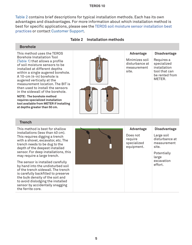#### **TEROS 10**

<span id="page-7-1"></span>[Table 2](#page-7-0) contains brief descriptions for typical installation methods. Each has its own advantages and disadvantages. For more information about which installation method is best for specific applications, please see the [TEROS soil moisture sensor installation best](https://www.metergroup.com/environment/articles/teros-installation-best-practices/)  [practices](https://www.metergroup.com/environment/articles/teros-installation-best-practices/) or contact [Customer Support.](#page-17-1)



### **Borehole**

This method uses the TEROS Borehole Installation Tool ([Table 1](#page-4-1)) that allows a profile of soil moisture sensors to be installed at different depths within a single augered borehole. A 10-cm (4-in) borehole is augered vertically at the measurement location. The BIT is then used to install the sensors in the sidewall of the borehole.

**NOTE: The borehole method requires specialized installation tool available from METER if installing at depths greater than 50 cm.**



#### **Advantage Disadvantage**

Minimizes soil disturbance at measurement site.

<span id="page-7-0"></span>Requires a specialized installation

tool that can be rented from METER.

### **Trench**

This method is best for shallow installations (less than 40 cm). This requires digging a trench with a shovel, excavator, etc. The trench needs to be dug to the depth of the deepest installed sensor. For deep installations, this may require a large trench.

The sensor is installed carefully by hand into the undisturbed soil of the trench sidewall. The trench is carefully backfilled to preserve the bulk density of the soil and to avoid dislodging the installed sensor by accidentally snagging the ferrite core.



#### **Advantage**

Does not require specialized equipment.

### **Disadvantage**

Large soil disturbance at measurement site.

Potentially large excavation effort.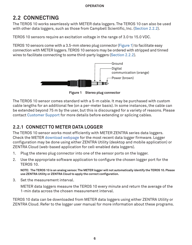# <span id="page-8-1"></span><span id="page-8-0"></span>**2.2 CONNECTING**

The TEROS 10 works seamlessly with METER data loggers. The TEROS 10 can also be used with other data loggers, such as those from Campbell Scientific, Inc. [\(Section 2.2.2\)](#page-9-1).

TEROS 10 sensors require an excitation voltage in the range of 3.0 to 15.0 VDC.

TEROS 10 sensors come with a 3.5-mm stereo plug connector ([Figure 1](#page-8-2)) to facilitate easy connection with METER loggers. TEROS 10 sensors may be ordered with stripped and tinned wires to facilitate connecting to some third-party loggers ([Section 2.2.2](#page-9-1)).



<span id="page-8-2"></span>**Figure 1 Stereo plug connector**

The TEROS 10 sensor comes standard with a 5-m cable. It may be purchased with custom cable lengths for an additional fee (on a per-meter basis). In some instances, the cable can be extended beyond 75 m by the user, but this is discouraged for a variety of reasons. Please contact [Customer Support](#page-17-1) for more details before extending or splicing cables.

### **2.2.1 CONNECT TO METER DATA LOGGER**

The TEROS 10 sensor works most efficiently with METER ZENTRA series data loggers. Check the METER d[ownload](https://www.metergroup.com/downloads) [webpage](https://www.metergroup.com/downloads) for the most recent data logger firmware. Logger configuration may be done using either ZENTRA Utility (desktop and mobile application) or ZENTRA Cloud (web-based application for cell-enabled data loggers).

- 1. Plug the stereo plug connector into one of the sensor ports on the logger.
- 2. Use the appropriate software application to configure the chosen logger port for the TEROS 10.

**NOTE: The TEROS 10 is an analog sensor. The METER logger will not automatically identify the TEROS 10. Please use ZENTRA Utility or ZENTRA Cloud to apply the correct configuration.**

3. Set the measurement interval.

METER data loggers measure the TEROS 10 every minute and return the average of the 1-min data across the chosen measurement interval.

TEROS 10 data can be downloaded from METER data loggers using either ZENTRA Utility or ZENTRA Cloud. Refer to the logger user manual for more information about these programs.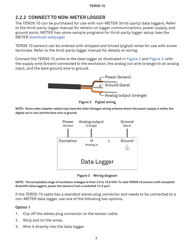### <span id="page-9-1"></span><span id="page-9-0"></span>**2.2.2 CONNECT TO NON-METER LOGGER**

The TEROS 10 can be purchased for use with non-METER (third-party) data loggers. Refer to the third-party logger manual for details on logger communications, power supply, and ground ports. METER has some sample programs for third-party logger setup (see the METER d[ownload](https://www.metergroup.com/downloads) [webpage](https://www.metergroup.com/downloads)).

TEROS 10 sensors can be ordered with stripped and tinned (pigtail) wires for use with screw terminals. Refer to the third-party logger manual for details on wiring.

Connect the TEROS 10 wires to the data logger as illustrated in [Figure 2](#page-9-2) and [Figure 3](#page-9-3), with the supply wire (brown) connected to the excitation, the analog out wire (orange) to an analog input, and the bare ground wire to ground.



<span id="page-9-2"></span>

**NOTE: Some older adapter cables may have the older Decagon wiring scheme where the power supply is white, the digital out is red, and the bare wire is ground.**



<span id="page-9-3"></span>**Figure 3 Wiring diagram**

**NOTE: The acceptable range of excitation voltages is from 3.0 to 15.0 VDC. To read TEROS 10 sensors with Campbell Scientific data loggers, power the sensors from a switched 12-V port.**

If the TEROS 10 cable has a standard stereo plug connector and needs to be connected to a non-METER data logger, use one of the following two options.

### **Option 1**

- 1. Clip off the stereo plug connector on the sensor cable.
- 2. Strip and tin the wires.
- 3. Wire it directly into the data logger.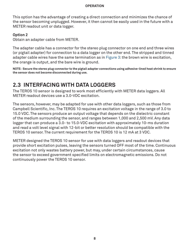### **Operation**

<span id="page-10-0"></span>This option has the advantage of creating a direct connection and minimizes the chance of the sensor becoming unplugged. However, it then cannot be easily used in the future with a METER readout unit or data logger.

### **Option 2**

Obtain an adapter cable from METER.

The adapter cable has a connector for the stereo plug connector on one end and three wires (or pigtail adapter) for connection to a data logger on the other end. The stripped and tinned adapter cable wires have the same termination as in [Figure 3](#page-9-3): the brown wire is excitation, the orange is output, and the bare wire is ground.

**NOTE: Secure the stereo plug connector to the pigtail adapter connections using adhesive-lined heat shrink to ensure the sensor does not become disconnected during use.**

# **2.3 INTERFACING WITH DATA LOGGERS**

The TEROS 10 sensor is designed to work most efficiently with METER data loggers. All METER readout devices use a 3.0-VDC excitation.

The sensors, however, may be adapted for use with other data loggers, such as those from Campbell Scientific, Inc. The TEROS 10 requires an excitation voltage in the range of 3.0 to 15.0 VDC. The sensors produce an output voltage that depends on the dielectric constant of the medium surrounding the sensor, and ranges between 1,000 and 2,500 mV. Any data logger that can produce a 3.0- to 15.0-VDC excitation with approximately 10-ms duration and read a volt level signal with 12-bit or better resolution should be compatible with the TEROS 10 sensor. The current requirement for the TEROS 10 is 12 mA at 3 VDC.

METER designed the TEROS 10 sensor for use with data loggers and readout devices that provide short excitation pulses, leaving the sensors turned OFF most of the time. Continuous excitation not only wastes battery power, but may, under certain circumstances, cause the sensor to exceed government specified limits on electromagnetic emissions. Do not continuously power the TEROS 10 sensor.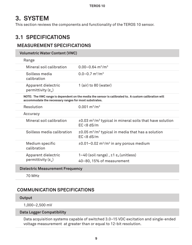# <span id="page-11-0"></span>**3. SYSTEM**

This section reviews the components and functionality of the TEROS 10 sensor.

# **3.1 SPECIFICATIONS**

### **MEASUREMENT SPECIFICATIONS**

| Range<br>Mineral soil calibration<br>$0.00 - 0.64$ m <sup>3</sup> /m <sup>3</sup><br>Soilless media<br>$0.0 - 0.7$ m <sup>3</sup> /m <sup>3</sup><br>calibration<br>1 (air) to 80 (water)<br>Apparent dielectric<br>permittivity $(\epsilon_a)$<br>NOTE: The VWC range is dependent on the media the sensor is calibrated to. A custom calibration will<br>accommodate the necessary ranges for most substrates.<br>0.001 $\frac{m^3}{m^3}$<br>Resolution<br>Accuracy<br>Mineral soil calibration<br>$\pm 0.03$ m $\mathrm{3/m^3}$ typical in mineral soils that have solution<br>$FC < 8$ dS/m<br>Soilless media calibration<br>$\pm 0.05$ m <sup>3</sup> /m <sup>3</sup> typical in media that has a solution<br>$FC < 8$ dS/m<br>$\pm 0.01 - 0.02$ m <sup>3</sup> /m <sup>3</sup> in any porous medium<br>Medium specific<br>calibration<br>$1-40$ (soil range), $\pm 1 \varepsilon_a$ (unitless)<br>Apparent dielectric<br>permittivity $(\epsilon_a)$<br>40-80, 15% of measurement | <b>Volumetric Water Content (VWC)</b> |  |  |
|-----------------------------------------------------------------------------------------------------------------------------------------------------------------------------------------------------------------------------------------------------------------------------------------------------------------------------------------------------------------------------------------------------------------------------------------------------------------------------------------------------------------------------------------------------------------------------------------------------------------------------------------------------------------------------------------------------------------------------------------------------------------------------------------------------------------------------------------------------------------------------------------------------------------------------------------------------------------------------------------|---------------------------------------|--|--|
|                                                                                                                                                                                                                                                                                                                                                                                                                                                                                                                                                                                                                                                                                                                                                                                                                                                                                                                                                                                         |                                       |  |  |
|                                                                                                                                                                                                                                                                                                                                                                                                                                                                                                                                                                                                                                                                                                                                                                                                                                                                                                                                                                                         |                                       |  |  |
|                                                                                                                                                                                                                                                                                                                                                                                                                                                                                                                                                                                                                                                                                                                                                                                                                                                                                                                                                                                         |                                       |  |  |
|                                                                                                                                                                                                                                                                                                                                                                                                                                                                                                                                                                                                                                                                                                                                                                                                                                                                                                                                                                                         |                                       |  |  |
|                                                                                                                                                                                                                                                                                                                                                                                                                                                                                                                                                                                                                                                                                                                                                                                                                                                                                                                                                                                         |                                       |  |  |
|                                                                                                                                                                                                                                                                                                                                                                                                                                                                                                                                                                                                                                                                                                                                                                                                                                                                                                                                                                                         |                                       |  |  |
|                                                                                                                                                                                                                                                                                                                                                                                                                                                                                                                                                                                                                                                                                                                                                                                                                                                                                                                                                                                         |                                       |  |  |
|                                                                                                                                                                                                                                                                                                                                                                                                                                                                                                                                                                                                                                                                                                                                                                                                                                                                                                                                                                                         |                                       |  |  |
|                                                                                                                                                                                                                                                                                                                                                                                                                                                                                                                                                                                                                                                                                                                                                                                                                                                                                                                                                                                         |                                       |  |  |
|                                                                                                                                                                                                                                                                                                                                                                                                                                                                                                                                                                                                                                                                                                                                                                                                                                                                                                                                                                                         |                                       |  |  |
|                                                                                                                                                                                                                                                                                                                                                                                                                                                                                                                                                                                                                                                                                                                                                                                                                                                                                                                                                                                         |                                       |  |  |

### **Dielectric Measurement Frequency**

70 MHz

### **COMMUNICATION SPECIFICATIONS**

### **Output**

1,000–2,500 mV

### **Data Logger Compatibility**

Data acquisition systems capable of switched 3.0–15 VDC excitation and single-ended voltage measurement at greater than or equal to 12-bit resolution.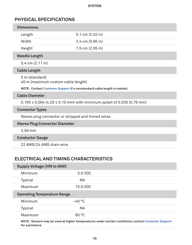#### **System**

### <span id="page-12-0"></span>**PHYSICAL SPECIFICATIONS**

| <b>Dimensions</b>                                    |                                                                               |  |
|------------------------------------------------------|-------------------------------------------------------------------------------|--|
| Length                                               | 5.1 cm (2.02 in)                                                              |  |
| Width                                                | 2.4 cm (0.95 in)                                                              |  |
| Height                                               | $7.5$ cm $(2.95)$ in                                                          |  |
| <b>Needle Length</b>                                 |                                                                               |  |
| 5.4 cm (2.11 in)                                     |                                                                               |  |
| <b>Cable Length</b>                                  |                                                                               |  |
| 5 m (standard)<br>40 m (maximum custom cable length) |                                                                               |  |
|                                                      | NOTE: Contact Customer Support if a nonstandard cable length is needed.       |  |
| <b>Cable Diameter</b>                                |                                                                               |  |
|                                                      | $0.165 \pm 0.004$ (4.20 $\pm$ 0.10 mm) with minimum jacket of 0.030 (0.76 mm) |  |
| <b>Connector Types</b>                               |                                                                               |  |
| Stereo plug connector or stripped and tinned wires   |                                                                               |  |
| <b>Stereo Plug Connector Diameter</b>                |                                                                               |  |
| $3.50 \text{ mm}$                                    |                                                                               |  |
| <b>Conductor Gauge</b>                               |                                                                               |  |

# 22 AWG/24 AWG drain wire

### **ELECTRICAL AND TIMING CHARACTERISTICS**

| <b>Supply Voltage (VIN to GND)</b> |           |        |
|------------------------------------|-----------|--------|
| Minimum                            | 3.0 VDC   |        |
| Typical                            | NA.       |        |
| Maximum                            | 15.0 VDC  |        |
| <b>Operating Temperature Range</b> |           |        |
| Minimum                            | $-40 °C$  |        |
| Typical                            | <b>NA</b> |        |
| Maximum                            | 60 °C     |        |
|                                    |           | .<br>. |

**NOTE: Sensors may be used at higher temperatures under certain conditions; contact [Customer Support](#page-17-1) for assistance.**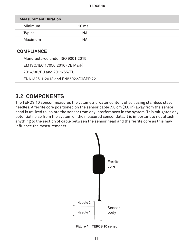| FRO<br>г.<br>o |
|----------------|
|----------------|

<span id="page-13-0"></span>

| <b>Measurement Duration</b> |                 |  |  |
|-----------------------------|-----------------|--|--|
| Minimum                     | $10 \text{ ms}$ |  |  |
| Typical                     | ΝA              |  |  |
| Maximum                     | ΝA              |  |  |

### **COMPLIANCE**

| Manufactured under ISO 9001:2015    |
|-------------------------------------|
| EM ISO/IEC 17050:2010 (CE Mark)     |
| 2014/30/EU and 2011/65/EU           |
| EN61326-1:2013 and EN55022/CISPR 22 |

## **3.2 COMPONENTS**

The TEROS 10 sensor measures the volumetric water content of soil using stainless steel needles. A ferrite core positioned on the sensor cable 7.6 cm (3.0 in) away from the sensor head is utilized to isolate the sensor from any interferences in the system. This mitigates any potential noise from the system on the measured sensor data. It is important to not attach anything to the section of cable between the sensor head and the ferrite core as this may influence the measurements.



**Figure 4 TEROS 10 sensor**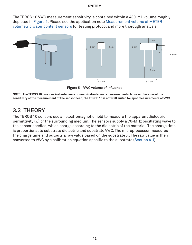### **System**

<span id="page-14-0"></span>The TEROS 10 VWC measurement sensitivity is contained within a 430-mL volume roughly depicted in [Figure 5.](#page-14-1) Please see the application note [Measurement volume of METER](https://www.metergroup.com/environment/articles/measurement-volume-meter-volumetric-water-content-sensors)  [volumetric water content sensors](https://www.metergroup.com/environment/articles/measurement-volume-meter-volumetric-water-content-sensors) for testing protocol and more thorough analysis.



<span id="page-14-1"></span>**Figure 5 VWC volume of influence**

**NOTE: The TEROS 10 provides instantaneous or near-instantaneous measurements; however, because of the sensitivity of the measurement of the sensor head, the TEROS 10 is not well suited for spot measurements of VWC.**

## **3.3 THEORY**

The TEROS 10 sensors use an electromagnetic field to measure the apparent dielectric permittivity  $(c_a)$  of the surrounding medium. The sensors supply a 70-MHz oscillating wave to the sensor needles, which charge according to the dielectric of the material. The charge time is proportional to substrate dielectric and substrate VWC. The microprocessor measures the charge time and outputs a raw value based on the substrate  $\varepsilon_a$ . The raw value is then converted to VWC by a calibration equation specific to the substrate [\(Section 4.1\)](#page-15-1).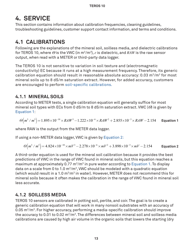# <span id="page-15-0"></span>**4. SERVICE**

This section contains information about calibration frequencies, cleaning guidelines, troubleshooting guidelines, customer support contact information, and terms and conditions.

# <span id="page-15-1"></span>**4.1 CALIBRATIONS**

Following are the explanations of the mineral soil, soilless media, and dielectric calibrations for TEROS 10, where  $\varTheta$  is the VWC (in m $^3$ /m $^3$ ),  $\varepsilon$  is dielectric, and  $RAW$  is the raw sensor output, when read with a METER or third-party data logger.

The TEROS 10 is not sensitive to variation in soil texture and (electromagnetic conductivity) EC because it runs at a high measurement frequency. Therefore, its generic calibration equation should result in reasonable absolute accuracy:  $0.03 \text{ m}^3/\text{m}^3$  for most mineral soils up to 8 dS/m saturation extract. However, for added accuracy, customers are encouraged to perform [soil-specific calibrations](http://metergroup.com/soil-sensor-calibration).

### **4.1.1 MINERAL SOILS**

According to METER tests, a single calibration equation will generally suffice for most mineral soil types with ECs from 0 dS/m to 8 dS/m saturation extract. VWC  $(\Theta)$  is given by [Equation 1:](#page-15-2)

$$
\Theta\left(m^{3}/m^{3}\right) = 1.895 \times 10^{-10} \times RAW^{3} - 1.222 \times 10^{-6} \times RAW^{2} + 2.855 \times 10^{-3} \times RAW - 2.154
$$
 Equation 1

where RAW is the output from the METER data logger.

If using a non-METER data logger, VWC is given by [Equation 2](#page-15-3):

<span id="page-15-3"></span><span id="page-15-2"></span>
$$
\Theta(m^3/m^3) = 4.824 \times 10^{-10} \times mV^3 - 2.278 \times 10^{-6} \times mV^2 + 3.898 \times 10^{-3} \times mV - 2.154
$$
 Equation 2

A third-order equation is used for the mineral soil calibration because it provides the best predictions of VWC in the range of VWC found in mineral soils, but this equation reaches a maximum at approximately 0.77  $\mathrm{m}^3/\mathrm{m}^3$  in pure water according to [Equation 1.](#page-15-2) To display data on a scale from 0 to 1.0  $\text{m}^3/\text{m}^3$ , VWC should be modeled with a quadratic equation (which would result in a 1.0 m $\mathrm{^{3}/m^{3}}$  in water). However, METER does not recommend this for mineral soils because it often makes the calibration in the range of VWC found in mineral soil less accurate.

### **4.1.2 SOILLESS MEDIA**

TEROS 10 sensors are calibrated in potting soil, perlite, and coir. The goal is to create a generic calibration equation that will work in many nonsoil substrates with an accuracy of 0.05 m $\rm{3/m^3}$ . For higher accuracy, performing a media-specific calibration should improve the accuracy to 0.01 to 0.02  $\mathrm{m}^{3}\mathrm{/m}^{3}$ . The differences between mineral soil and soilless media calibrations are caused by high air volume in the organic soils that lowers the starting (dry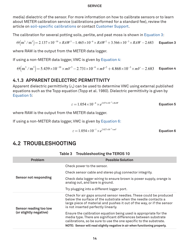#### <span id="page-16-2"></span><span id="page-16-1"></span>**Service**

<span id="page-16-0"></span>media) dielectric of the sensor. For more information on how to calibrate sensors or to learn about METER calibration service (calibrations performed for a standard fee), review the article on [soil-specific calibrations](http://metergroup.com/soil-sensor-calibration) or contact [Customer Support](#page-17-1).

The calibration for several potting soils, perlite, and peat moss is shown in [Equation 3](#page-16-1):

$$
\Theta\!\left(m^3/m^3\right)\!=\!2.137\times\!10^{-10}\!\times\!RAW^3\!-\!1.465\times\!10^{-6}\!\times\!RAW^2\!+\!3.566\times\!10^{-3}\!\times\!RAW-2.683\quad \ \ \text{Equation 3}
$$

where RAW is the output from the METER data logger.

If using a non-METER data logger, VWC is given by [Equation 4](#page-16-2):

$$
\Theta(m^3/m^3) = 5.439 \times 10^{-10} \times mV^3 - 2.731 \times 10^{-6} \times mV^2 + 4.868 \times 10^{-3} \times mV - 2.683
$$
 Equation 4

### **4.1.3 APPARENT DIELECTRIC PERMITTIVITY**

Apparent dielectric permittivity  $(c_a)$  can be used to determine VWC using external published equations such as the Topp equation (Topp et al. 1980). Dielectric permittivity is given by [Equation 5:](#page-16-3)

<span id="page-16-3"></span>
$$
\varepsilon = 1.054 \times 10^{-4} \times e^{2.071 \times 10^{-3} \times RAW} \qquad \qquad \text{Equation 5}
$$

where RAW is the output from the METER data logger.

If using a non-METER data logger, VWC is given by [Equation 6](#page-16-4):

<span id="page-16-4"></span>
$$
\varepsilon = 1.054 \times 10^{-1} \times e^{2.827 \times 10^{-3} \times mV}
$$
 Equation 6

# **4.2 TROUBLESHOOTING**

|                        | Table 3 Troubleshooting the TEROS TO                                                                                                                                                                                                                |
|------------------------|-----------------------------------------------------------------------------------------------------------------------------------------------------------------------------------------------------------------------------------------------------|
| Problem                | <b>Possible Solution</b>                                                                                                                                                                                                                            |
|                        | Check power to the sensor.                                                                                                                                                                                                                          |
|                        | Check sensor cable and stereo plug connector integrity.                                                                                                                                                                                             |
| Sensor not responding  | Check data logger wiring to ensure brown is power supply, orange is<br>analog out, and bare is ground.                                                                                                                                              |
|                        | Try plugging into a different logger port.                                                                                                                                                                                                          |
| Sensor reading too low | Check for air gaps around sensor needles. These could be produced<br>below the surface of the substrate when the needle contacts a<br>large piece of material and pushes it out of the way, or if the sensor<br>is not inserted perfectly linearly. |
| (or slightly negative) | Ensure the calibration equation being used is appropriate for the<br>media type. There are significant differences between substrate<br>calibrations, so be sure to use the one specific to the substrate.                                          |
|                        | NOTE: Sensor will read slightly negative in air when functioning properly.                                                                                                                                                                          |

### **Table 3 Troubleshooting the TEROS 10**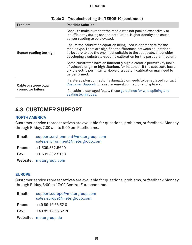<span id="page-17-0"></span>

|                         | Table 3 Troubleshooting the TEROS 10 (continued)                                                                                                                                                                                                                                            |
|-------------------------|---------------------------------------------------------------------------------------------------------------------------------------------------------------------------------------------------------------------------------------------------------------------------------------------|
| Problem                 | <b>Possible Solution</b>                                                                                                                                                                                                                                                                    |
|                         | Check to make sure that the media was not packed excessively or<br>insufficiently during sensor installation. Higher density can cause<br>sensor reading to be elevated.                                                                                                                    |
| Sensor reading too high | Ensure the calibration equation being used is appropriate for the<br>media type. There are significant differences between calibrations,<br>so be sure to use the one most suitable to the substrate, or consider<br>developing a substrate-specific calibration for the particular medium. |
|                         | Some substrates have an inherently high dielectric permittivity (soils<br>of volcanic origin or high titanium, for instance). If the substrate has a<br>dry dielectric permittivity above 6, a custom calibration may need to<br>be performed.                                              |
| Cable or stereo plug    | If a stereo plug connector is damaged or needs to be replaced contact<br>Customer Support for a replacement connector and splice kit.                                                                                                                                                       |
| connector failure       | If a cable is damaged follow these guidelines for wire splicing and<br>sealing techniques.                                                                                                                                                                                                  |

### <span id="page-17-1"></span>**4.3 CUSTOMER SUPPORT**

### **NORTH AMERICA**

Customer service representatives are available for questions, problems, or feedback Monday through Friday, 7:00 am to 5:00 pm Pacific time.

**Email:** [support.environment@metergroup.com](mailto:support.environment%40metergroup.com?subject=) [sales.environment@metergroup.com](mailto:sales.environment%40metergroup.com?subject=)

**Phone:** +1.509.332.5600

**Fax:** +1.509.332.5158

**Website:** [metergroup.com](https://www.metergroup.com)

### **EUROPE**

Customer service representatives are available for questions, problems, or feedback Monday through Friday, 8:00 to 17:00 Central European time.

**Email:** [support.europe@metergroup.c](mailto:support.environment%40metergroup.com?subject=)om [sales.europe@metergroup.c](mailto:sales.environment%40metergroup.com?subject=)om

**Phone:** +49 89 12 66 52 0

**Fax:** +49 89 12 66 52 20

**Website:** [metergroup.d](https://www.metergroup.com/de)e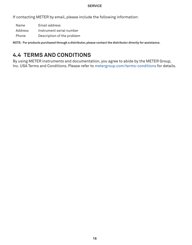### **Service**

<span id="page-18-0"></span>If contacting METER by email, please include the following information:

Name Address Phone Email address Instrument serial number Description of the problem

**NOTE: For products purchased through a distributor, please contact the distributor directly for assistance.**

# **4.4 TERMS AND CONDITIONS**

By using METER instruments and documentation, you agree to abide by the METER Group, Inc. USA Terms and Conditions. Please refer to [metergroup.com/terms-conditions](https://www.metergroup.com/company/meter-group-inc-usa-terms-conditions) for details.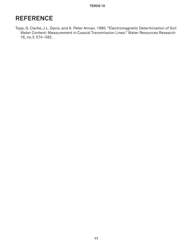# <span id="page-19-0"></span>**REFERENCE**

Topp, G. Clarke, J.L. Davis, and A. Peter Annan. 1980. "Electromagnetic Determination of Soil Water Content: Measurement in Coaxial Transmission Lines." Water Resources Research 16, no.3: 574–582.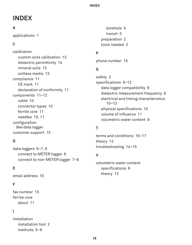#### **INDEX**

# <span id="page-20-0"></span>**INDEX**

### **A**

applications [1](#page-3-0)

### **C**

calibration custom soils calibration [13](#page-15-0) dielectric permittivity [14](#page-16-0) mineral soils [13](#page-15-0) soilless media [13](#page-15-0) compliance [11](#page-13-0) CE mark [11](#page-13-0) declaration of conformity [11](#page-13-0) components [11](#page-13-0)[–12](#page-14-0) cable [10](#page-12-0) connector types [10](#page-12-0) ferrite core [11](#page-13-0) needles [10](#page-12-0), [11](#page-13-0) configuration See data logger customer support [15](#page-17-0)

### **D**

data loggers [6](#page-8-0)[–7](#page-9-0), [9](#page-11-0) connect to METER logger [6](#page-8-0) connect to non-METER logger [7–](#page-9-0)[8](#page-10-0)

### **E**

email address [15](#page-17-0)

### **F**

fax number [15](#page-17-0) ferrite core about [11](#page-13-0)

### **I**

installation installation tool [2](#page-4-0) methods [5–](#page-7-1)[6](#page-8-0)

borehole [5](#page-7-1) trench [5](#page-7-1) preparation [2](#page-4-0) tools needed [2](#page-4-0)

### **P**

phone number [15](#page-17-0)

### **S**

safety [2](#page-4-0) specifications [9](#page-11-0)[–12](#page-14-0) data logger compatibility [9](#page-11-0) dielectric measurement frequency [9](#page-11-0) electrical and timing characteristics  $10 - 12$  $10 - 12$ physical specifications [10](#page-12-0) volume of influence [11](#page-13-0) volumetric water content [9](#page-11-0)

### **T**

terms and conditions [16](#page-18-0)[–17](#page-19-0) theory [12](#page-14-0) troubleshooting [14](#page-16-0)[–15](#page-17-0)

### **V**

volumetric water content specifications [9](#page-11-0) theory [12](#page-14-0)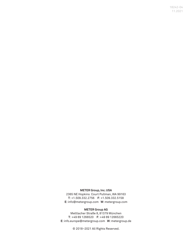18242-04 11.2021

#### **METER Group, Inc. USA**

2365 NE Hopkins Court Pullman, WA 99163 **T**: +1.509.332.2756 **F**: +1.509.332.5158 **E**: info@metergroup.com **W**: metergroup.com

#### **METER Group AG**

Mettlacher Straße 8, 81379 München **T**: +49 89 1266520 **F**: +49 89 12665220 **E**: info.europe@metergroup.com **W**: metergroup.de

© 2018–2021 All Rights Reserved.